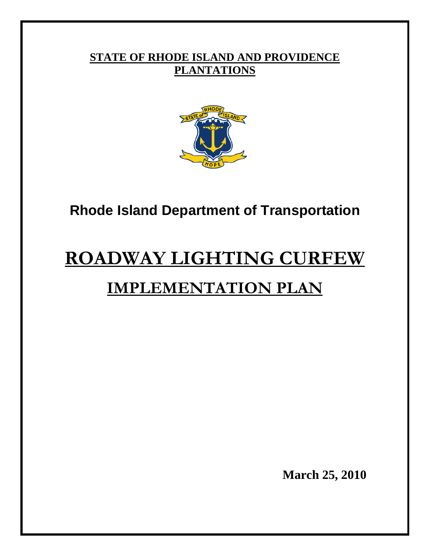# **STATE OF RHODE ISLAND AND PROVIDENCE PLANTATIONS**



# **Rhode Island Department of Transportation**

# **ROADWAY LIGHTING CURFEW IMPLEMENTATION PLAN**

**March 25, 2010**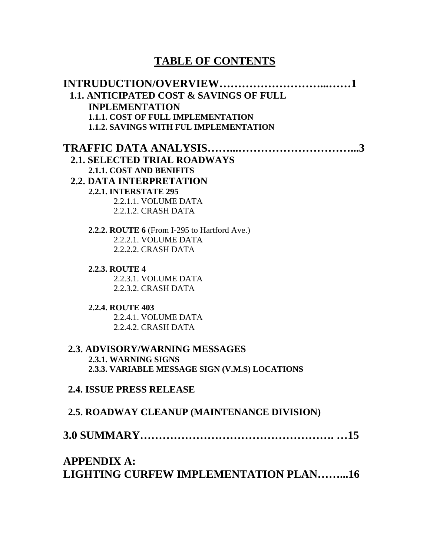# **TABLE OF CONTENTS**

| <b>1.1. ANTICIPATED COST &amp; SAVINGS OF FULL</b> |
|----------------------------------------------------|
| <b>INPLEMENTATION</b>                              |
| <b>1.1.1. COST OF FULL IMPLEMENTATION</b>          |
| <b>1.1.2. SAVINGS WITH FUL IMPLEMENTATION</b>      |
|                                                    |
| <b>2.1. SELECTED TRIAL ROADWAYS</b>                |
| <b>2.1.1. COST AND BENIFITS</b>                    |
| <b>2.2. DATA INTERPRETATION</b>                    |
| <b>2.2.1. INTERSTATE 295</b>                       |
| 2.2.1.1. VOLUME DATA                               |
| 2.2.1.2. CRASH DATA                                |
| 2.2.2. ROUTE 6 (From I-295 to Hartford Ave.)       |
| 2.2.2.1. VOLUME DATA                               |
| 2.2.2.2. CRASH DATA                                |
| <b>2.2.3. ROUTE 4</b>                              |
| 2.2.3.1. VOLUME DATA                               |
| 2.2.3.2. CRASH DATA                                |
| <b>2.2.4. ROUTE 403</b>                            |
| 2.2.4.1. VOLUME DATA                               |
| 2.2.4.2. CRASH DATA                                |
| <b>2.3. ADVISORY/WARNING MESSAGES</b>              |
| 2.3.1. WARNING SIGNS                               |
| 2.3.3. VARIABLE MESSAGE SIGN (V.M.S) LOCATIONS     |
| <b>2.4. ISSUE PRESS RELEASE</b>                    |
| <b>2.5. ROADWAY CLEANUP (MAINTENANCE DIVISION)</b> |
|                                                    |
| $\Lambda$ <b>DDFNDIV</b> $\Lambda$ .               |

### **APPENDIX A: LIGHTING CURFEW IMPLEMENTATION PLAN……...16**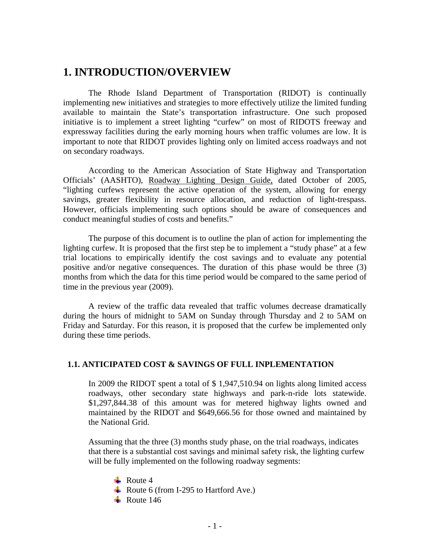### **1. INTRODUCTION/OVERVIEW**

The Rhode Island Department of Transportation (RIDOT) is continually implementing new initiatives and strategies to more effectively utilize the limited funding available to maintain the State's transportation infrastructure. One such proposed initiative is to implement a street lighting "curfew" on most of RIDOTS freeway and expressway facilities during the early morning hours when traffic volumes are low. It is important to note that RIDOT provides lighting only on limited access roadways and not on secondary roadways.

According to the American Association of State Highway and Transportation Officials' (AASHTO), Roadway Lighting Design Guide, dated October of 2005, "lighting curfews represent the active operation of the system, allowing for energy savings, greater flexibility in resource allocation, and reduction of light-trespass. However, officials implementing such options should be aware of consequences and conduct meaningful studies of costs and benefits."

The purpose of this document is to outline the plan of action for implementing the lighting curfew. It is proposed that the first step be to implement a "study phase" at a few trial locations to empirically identify the cost savings and to evaluate any potential positive and/or negative consequences. The duration of this phase would be three (3) months from which the data for this time period would be compared to the same period of time in the previous year (2009).

A review of the traffic data revealed that traffic volumes decrease dramatically during the hours of midnight to 5AM on Sunday through Thursday and 2 to 5AM on Friday and Saturday. For this reason, it is proposed that the curfew be implemented only during these time periods.

### **1.1. ANTICIPATED COST & SAVINGS OF FULL INPLEMENTATION**

In 2009 the RIDOT spent a total of \$ 1,947,510.94 on lights along limited access roadways, other secondary state highways and park-n-ride lots statewide. \$1,297,844.38 of this amount was for metered highway lights owned and maintained by the RIDOT and \$649,666.56 for those owned and maintained by the National Grid.

Assuming that the three (3) months study phase, on the trial roadways, indicates that there is a substantial cost savings and minimal safety risk, the lighting curfew will be fully implemented on the following roadway segments:

 $\blacksquare$  Route 4 Route 6 (from I-295 to Hartford Ave.)  $\overline{\phantom{0}}$  Route 146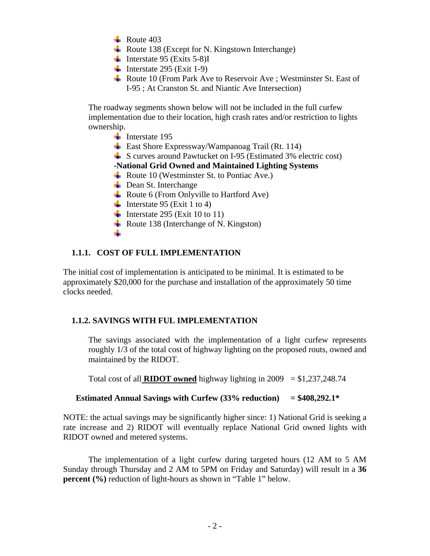- $\text{Rule } 403$
- Route 138 (Except for N. Kingstown Interchange)
- Interstate 95 (Exits 5-8)I
- Interstate 295 (Exit 1-9)
- Route 10 (From Park Ave to Reservoir Ave ; Westminster St. East of I-95 ; At Cranston St. and Niantic Ave Intersection)

The roadway segments shown below will not be included in the full curfew implementation due to their location, high crash rates and/or restriction to lights ownership.

- $\blacksquare$  Interstate 195
- $\overline{\phantom{A}}$  East Shore Expressway/Wampanoag Trail (Rt. 114)
- $\overline{\phantom{a}^{\perp}}$  S curves around Pawtucket on I-95 (Estimated 3% electric cost)

### **-National Grid Owned and Maintained Lighting Systems**

- Route 10 (Westminster St. to Pontiac Ave.)
- $\overline{\phantom{a}}$  Dean St. Interchange
- Route 6 (From Onlyville to Hartford Ave)
- Interstate 95 (Exit 1 to 4)
- Interstate 295 (Exit 10 to 11)
- Route 138 (Interchange of N. Kingston)

### -∎

### **1.1.1. COST OF FULL IMPLEMENTATION**

The initial cost of implementation is anticipated to be minimal. It is estimated to be approximately \$20,000 for the purchase and installation of the approximately 50 time clocks needed.

### **1.1.2. SAVINGS WITH FUL IMPLEMENTATION**

The savings associated with the implementation of a light curfew represents roughly 1/3 of the total cost of highway lighting on the proposed routs, owned and maintained by the RIDOT.

Total cost of all **RIDOT** owned highway lighting in  $2009 = $1,237,248.74$ 

### **Estimated Annual Savings with Curfew (33% reduction) = \$408,292.1\***

NOTE: the actual savings may be significantly higher since: 1) National Grid is seeking a rate increase and 2) RIDOT will eventually replace National Grid owned lights with RIDOT owned and metered systems.

The implementation of a light curfew during targeted hours (12 AM to 5 AM Sunday through Thursday and 2 AM to 5PM on Friday and Saturday) will result in a **36 percent** (%) reduction of light-hours as shown in "Table 1" below.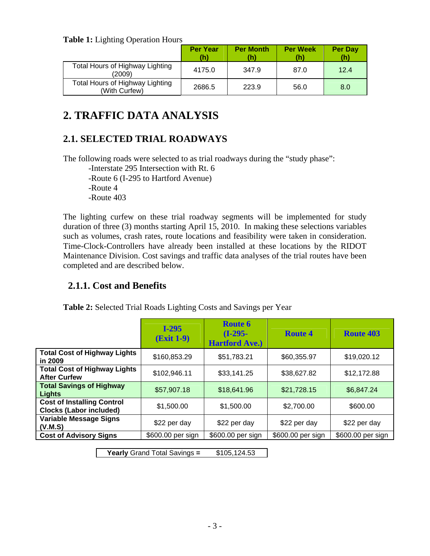**Table 1:** Lighting Operation Hours

|                                                  | <b>Per Year</b><br>(h) | <b>Per Month</b><br>(h' | <b>Per Week</b> | <b>Per Day</b><br>(h) |
|--------------------------------------------------|------------------------|-------------------------|-----------------|-----------------------|
| Total Hours of Highway Lighting<br>(2009)        | 4175.0                 | 347.9                   | 87.0            | 12.4                  |
| Total Hours of Highway Lighting<br>(With Curfew) | 2686.5                 | 223.9                   | 56.0            | 8.0                   |

# **2. TRAFFIC DATA ANALYSIS**

## **2.1. SELECTED TRIAL ROADWAYS**

The following roads were selected to as trial roadways during the "study phase":

-Interstate 295 Intersection with Rt. 6 -Route 6 (I-295 to Hartford Avenue) -Route 4 -Route 403

The lighting curfew on these trial roadway segments will be implemented for study duration of three (3) months starting April 15, 2010. In making these selections variables such as volumes, crash rates, route locations and feasibility were taken in consideration. Time-Clock-Controllers have already been installed at these locations by the RIDOT Maintenance Division. Cost savings and traffic data analyses of the trial routes have been completed and are described below.

### **2.1.1. Cost and Benefits**

|                                                                     | $I-295$<br><b>(Exit 1-9)</b> | Route 6<br>$(I-295-$<br><b>Hartford Ave.)</b> | <b>Route 4</b>    | <b>Route 403</b>  |
|---------------------------------------------------------------------|------------------------------|-----------------------------------------------|-------------------|-------------------|
| <b>Total Cost of Highway Lights</b><br>in 2009                      | \$160,853.29                 | \$51,783.21                                   | \$60,355.97       | \$19,020.12       |
| <b>Total Cost of Highway Lights</b><br><b>After Curfew</b>          | \$102,946.11                 | \$33,141.25                                   | \$38,627.82       | \$12,172.88       |
| <b>Total Savings of Highway</b><br>Lights                           | \$57,907.18                  | \$18,641.96                                   | \$21,728.15       | \$6,847.24        |
| <b>Cost of Installing Control</b><br><b>Clocks (Labor included)</b> | \$1,500.00                   | \$1,500.00                                    | \$2,700.00        | \$600.00          |
| <b>Variable Message Signs</b><br>(V.M.S)                            | \$22 per day                 | \$22 per day                                  | \$22 per day      | \$22 per day      |
| <b>Cost of Advisory Signs</b>                                       | \$600.00 per sign            | \$600.00 per sign                             | \$600.00 per sign | \$600.00 per sign |

**Table 2:** Selected Trial Roads Lighting Costs and Savings per Year

**Yearly** Grand Total Savings **=** \$105,124.53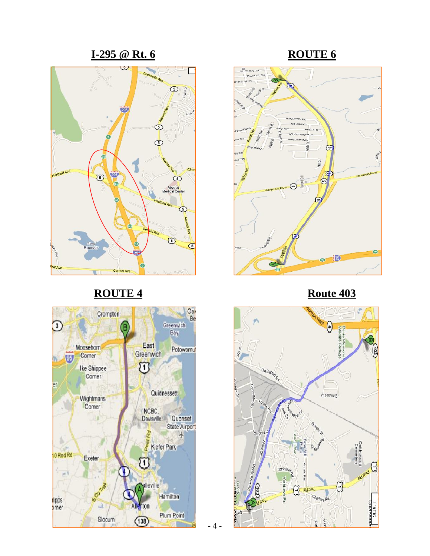### **<u><b>I-295** @ Rt. 6</u> ROUTE 6



# **ROUTE 4** Route 403







- 4 -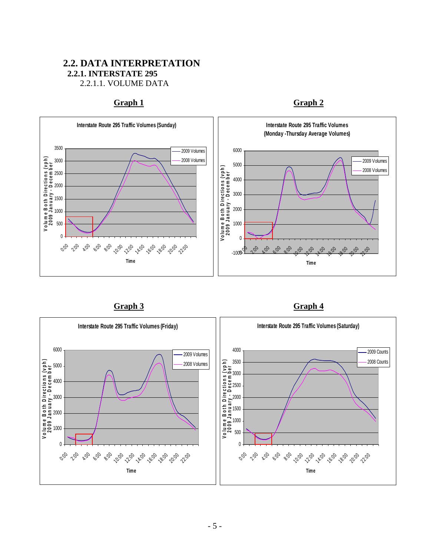### **2.2. DATA INTERPRETATION 2.2.1. INTERSTATE 295** 2.2.1.1. VOLUME DATA

### Graph 1 Graph 2





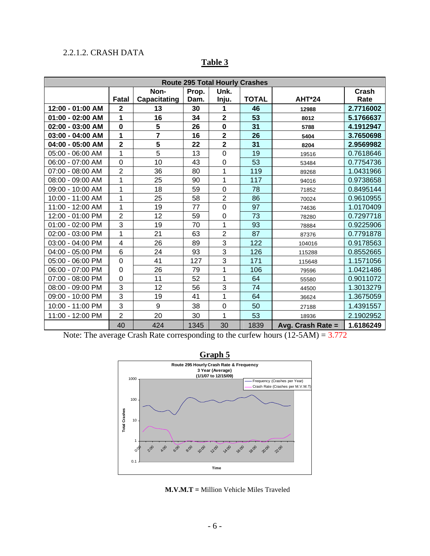### 2.2.1.2. CRASH DATA

| <b>Route 295 Total Hourly Crashes</b> |                         |                |       |                         |              |                   |              |  |  |
|---------------------------------------|-------------------------|----------------|-------|-------------------------|--------------|-------------------|--------------|--|--|
|                                       |                         | Non-           | Prop. | Unk.                    |              |                   | <b>Crash</b> |  |  |
|                                       | Fatal                   | Capacitating   | Dam.  | Inju.                   | <b>TOTAL</b> | <b>AHT*24</b>     | Rate         |  |  |
| 12:00 - 01:00 AM                      | $\overline{\mathbf{2}}$ | 13             | 30    | 1                       | 46           | 12988             | 2.7716002    |  |  |
| $01:00 - 02:00$ AM                    | 1                       | 16             | 34    | $\overline{\mathbf{2}}$ | 53           | 8012              | 5.1766637    |  |  |
| 02:00 - 03:00 AM                      | $\mathbf 0$             | 5              | 26    | $\mathbf 0$             | 31           | 5788              | 4.1912947    |  |  |
| 03:00 - 04:00 AM                      | 1                       | $\overline{7}$ | 16    | $\overline{\mathbf{2}}$ | 26           | 5404              | 3.7650698    |  |  |
| 04:00 - 05:00 AM                      | $\overline{\mathbf{2}}$ | 5              | 22    | $\overline{\mathbf{2}}$ | 31           | 8204              | 2.9569982    |  |  |
| 05:00 - 06:00 AM                      | 1                       | 5              | 13    | $\mathbf 0$             | 19           | 19516             | 0.7618646    |  |  |
| 06:00 - 07:00 AM                      | $\overline{0}$          | 10             | 43    | 0                       | 53           | 53484             | 0.7754736    |  |  |
| 07:00 - 08:00 AM                      | $\overline{2}$          | 36             | 80    | 1                       | 119          | 89268             | 1.0431966    |  |  |
| $08:00 - 09:00$ AM                    | 1                       | 25             | 90    | $\mathbf{1}$            | 117          | 94016             | 0.9738658    |  |  |
| 09:00 - 10:00 AM                      | 1                       | 18             | 59    | $\mathbf 0$             | 78           | 71852             | 0.8495144    |  |  |
| 10:00 - 11:00 AM                      | 1                       | 25             | 58    | $\overline{2}$          | 86           | 70024             | 0.9610955    |  |  |
| 11:00 - 12:00 AM                      | 1                       | 19             | 77    | 0                       | 97           | 74636             | 1.0170409    |  |  |
| 12:00 - 01:00 PM                      | $\overline{2}$          | 12             | 59    | 0                       | 73           | 78280             | 0.7297718    |  |  |
| 01:00 - 02:00 PM                      | 3                       | 19             | 70    | 1                       | 93           | 78884             | 0.9225906    |  |  |
| 02:00 - 03:00 PM                      | 1                       | 21             | 63    | $\overline{2}$          | 87           | 87376             | 0.7791878    |  |  |
| 03:00 - 04:00 PM                      | 4                       | 26             | 89    | 3                       | 122          | 104016            | 0.9178563    |  |  |
| 04:00 - 05:00 PM                      | 6                       | 24             | 93    | 3                       | 126          | 115288            | 0.8552665    |  |  |
| 05:00 - 06:00 PM                      | $\overline{0}$          | 41             | 127   | 3                       | 171          | 115648            | 1.1571056    |  |  |
| 06:00 - 07:00 PM                      | 0                       | 26             | 79    | 1                       | 106          | 79596             | 1.0421486    |  |  |
| 07:00 - 08:00 PM                      | 0                       | 11             | 52    | 1                       | 64           | 55580             | 0.9011072    |  |  |
| 08:00 - 09:00 PM                      | 3                       | 12             | 56    | 3                       | 74           | 44500             | 1.3013279    |  |  |
| 09:00 - 10:00 PM                      | 3                       | 19             | 41    | 1                       | 64           | 36624             | 1.3675059    |  |  |
| 10:00 - 11:00 PM                      | 3                       | 9              | 38    | 0                       | 50           | 27188             | 1.4391557    |  |  |
| 11:00 - 12:00 PM                      | $\overline{2}$          | 20             | 30    | 1                       | 53           | 18936             | 2.1902952    |  |  |
|                                       | 40                      | 424            | 1345  | 30                      | 1839         | Avg. Crash Rate = | 1.6186249    |  |  |

### **Table 3**

Note: The average Crash Rate corresponding to the curfew hours (12-5AM) = 3.772



**M.V.M.T =** Million Vehicle Miles Traveled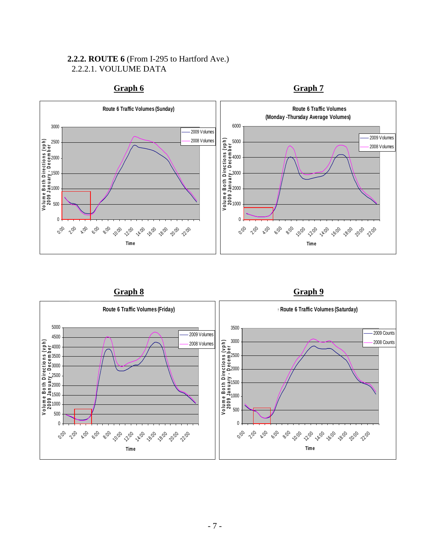### **2.2.2. ROUTE 6** (From I-295 to Hartford Ave.) 2.2.2.1. VOULUME DATA



**Graph 6** Graph 7

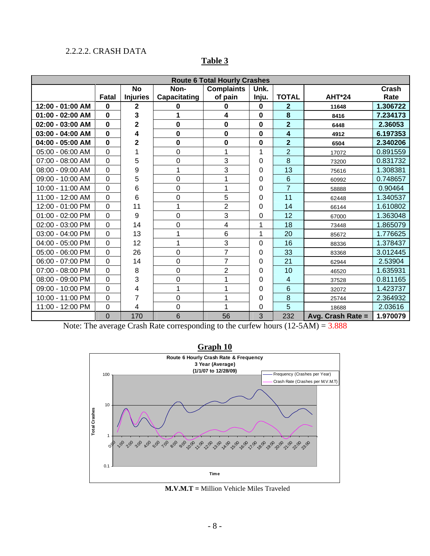### 2.2.2.2. CRASH DATA

| <b>Route 6 Total Hourly Crashes</b> |                |                 |              |                   |             |                         |                   |          |  |
|-------------------------------------|----------------|-----------------|--------------|-------------------|-------------|-------------------------|-------------------|----------|--|
|                                     |                | <b>No</b>       | Non-         | <b>Complaints</b> | Unk.        |                         |                   | Crash    |  |
|                                     | Fatal          | <b>Injuries</b> | Capacitating | of pain           | Inju.       | <b>TOTAL</b>            | AHT*24            | Rate     |  |
| 12:00 - 01:00 AM                    | $\bf{0}$       | 2               | 0            | 0                 | $\mathbf 0$ | $\mathbf{2}$            | 11648             | 1.306722 |  |
| $01:00 - 02:00$ AM                  | $\mathbf{0}$   | 3               | 1            | 4                 | $\mathbf 0$ | 8                       | 8416              | 7.234173 |  |
| 02:00 - 03:00 AM                    | $\Omega$       | 2               | 0            | $\mathbf 0$       | 0           | $\overline{2}$          | 6448              | 2.36053  |  |
| $03:00 - 04:00$ AM                  | $\bf{0}$       | 4               | 0            | $\mathbf 0$       | $\bf{0}$    | $\overline{\mathbf{4}}$ | 4912              | 6.197353 |  |
| 04:00 - 05:00 AM                    | 0              | 2               | 0            | $\mathbf 0$       | 0           | $\overline{2}$          | 6504              | 2.340206 |  |
| 05:00 - 06:00 AM                    | 0              |                 | 0            | 1                 | 1           | $\overline{2}$          | 17072             | 0.891559 |  |
| 07:00 - 08:00 AM                    | 0              | 5               | 0            | 3                 | 0           | 8                       | 73200             | 0.831732 |  |
| 08:00 - 09:00 AM                    | 0              | 9               | 1            | 3                 | 0           | 13                      | 75616             | 1.308381 |  |
| 09:00 - 10:00 AM                    | 0              | 5               | 0            | 1                 | 0           | $6\phantom{1}$          | 60992             | 0.748657 |  |
| 10:00 - 11:00 AM                    | 0              | 6               | 0            | 1                 | 0           | $\overline{7}$          | 58888             | 0.90464  |  |
| 11:00 - 12:00 AM                    | 0              | 6               | 0            | 5                 | 0           | 11                      | 62448             | 1.340537 |  |
| 12:00 - 01:00 PM                    | 0              | 11              | 1            | $\overline{2}$    | 0           | 14                      | 66144             | 1.610802 |  |
| 01:00 - 02:00 PM                    | $\Omega$       | 9               | 0            | 3                 | 0           | 12                      | 67000             | 1.363048 |  |
| 02:00 - 03:00 PM                    | 0              | 14              | 0            | 4                 | 1           | 18                      | 73448             | 1.865079 |  |
| 03:00 - 04:00 PM                    | 0              | 13              | 1            | $6\phantom{1}$    | 1           | 20                      | 85672             | 1.776625 |  |
| 04:00 - 05:00 PM                    | 0              | 12              | 1            | 3                 | 0           | 16                      | 88336             | 1.378437 |  |
| 05:00 - 06:00 PM                    | 0              | 26              | 0            | $\overline{7}$    | 0           | 33                      | 83368             | 3.012445 |  |
| 06:00 - 07:00 PM                    | $\Omega$       | 14              | 0            | $\overline{7}$    | 0           | 21                      | 62944             | 2.53904  |  |
| 07:00 - 08:00 PM                    | $\Omega$       | 8               | 0            | $\overline{2}$    | 0           | 10                      | 46520             | 1.635931 |  |
| 08:00 - 09:00 PM                    | 0              | 3               | 0            | 1                 | 0           | $\overline{4}$          | 37528             | 0.811165 |  |
| 09:00 - 10:00 PM                    | 0              | 4               | 1            | 1                 | 0           | 6                       | 32072             | 1.423737 |  |
| 10:00 - 11:00 PM                    | 0              | 7               | 0            | 1                 | 0           | 8                       | 25744             | 2.364932 |  |
| 11:00 - 12:00 PM                    | 0              | 4               | 0            | 1                 | 0           | 5                       | 18688             | 2.03616  |  |
|                                     | $\overline{0}$ | 170             | 6            | 56                | 3           | 232                     | Avg. Crash Rate = | 1.970079 |  |

### **Table 3**

Note: The average Crash Rate corresponding to the curfew hours (12-5AM) = 3.888



### **M.V.M.T =** Million Vehicle Miles Traveled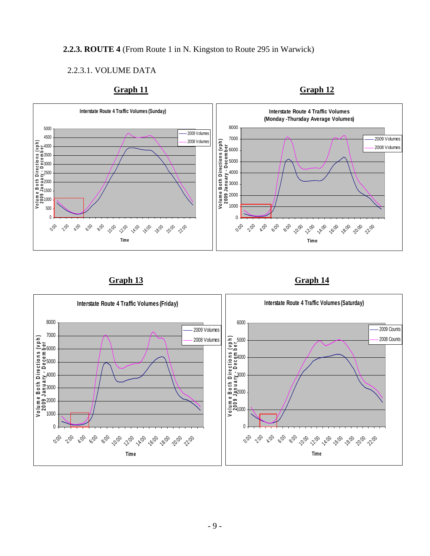### **2.2.3. ROUTE 4** (From Route 1 in N. Kingston to Route 295 in Warwick)

### 2.2.3.1. VOLUME DATA







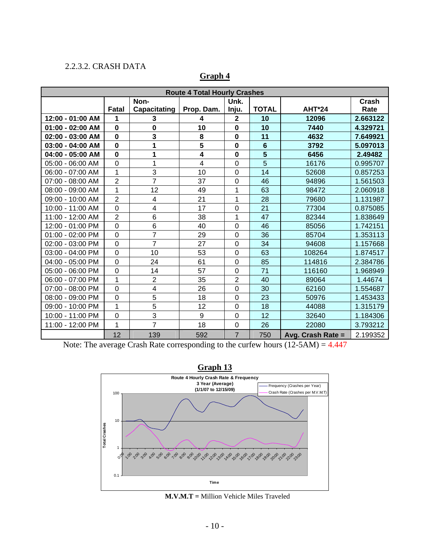### 2.2.3.2. CRASH DATA

| <b>Route 4 Total Hourly Crashes</b> |                |                         |                         |                  |                         |                   |          |  |  |
|-------------------------------------|----------------|-------------------------|-------------------------|------------------|-------------------------|-------------------|----------|--|--|
|                                     |                | Non-                    |                         | Unk.             |                         |                   | Crash    |  |  |
|                                     | Fatal          | Capacitating            | Prop. Dam.              | Inju.            | <b>TOTAL</b>            | <b>AHT*24</b>     | Rate     |  |  |
| 12:00 - 01:00 AM                    | 1              | 3                       | 4                       | $\mathbf 2$      | 10                      | 12096             | 2.663122 |  |  |
| $01:00 - 02:00$ AM                  | $\mathbf 0$    | $\mathbf 0$             | 10                      | $\mathbf 0$      | 10                      | 7440              | 4.329721 |  |  |
| 02:00 - 03:00 AM                    | $\mathbf 0$    | 3                       | 8                       | $\mathbf 0$      | 11                      | 4632              | 7.649921 |  |  |
| 03:00 - 04:00 AM                    | $\mathbf 0$    | 1                       | $5\phantom{.0}$         | $\mathbf 0$      | $6\phantom{1}$          | 3792              | 5.097013 |  |  |
| 04:00 - 05:00 AM                    | $\mathbf 0$    | 1                       | $\overline{\mathbf{4}}$ | $\bf{0}$         | $\overline{\mathbf{5}}$ | 6456              | 2.49482  |  |  |
| 05:00 - 06:00 AM                    | $\mathbf 0$    | $\overline{1}$          | $\overline{4}$          | $\mathbf 0$      | $\overline{5}$          | 16176             | 0.995707 |  |  |
| 06:00 - 07:00 AM                    | $\mathbf 1$    | 3                       | 10                      | $\boldsymbol{0}$ | 14                      | 52608             | 0.857253 |  |  |
| 07:00 - 08:00 AM                    | $\overline{2}$ | $\overline{7}$          | 37                      | $\mathbf 0$      | 46                      | 94896             | 1.561503 |  |  |
| 08:00 - 09:00 AM                    | $\overline{1}$ | 12                      | 49                      | 1                | 63                      | 98472             | 2.060918 |  |  |
| 09:00 - 10:00 AM                    | $\overline{2}$ | 4                       | 21                      | $\mathbf 1$      | 28                      | 79680             | 1.131987 |  |  |
| 10:00 - 11:00 AM                    | $\mathbf 0$    | 4                       | 17                      | 0                | 21                      | 77304             | 0.875085 |  |  |
| 11:00 - 12:00 AM                    | $\overline{2}$ | 6                       | 38                      | 1                | 47                      | 82344             | 1.838649 |  |  |
| 12:00 - 01:00 PM                    | $\mathbf 0$    | $6\phantom{1}6$         | 40                      | $\mathbf 0$      | 46                      | 85056             | 1.742151 |  |  |
| 01:00 - 02:00 PM                    | $\mathbf 0$    | $\overline{7}$          | 29                      | $\mathbf 0$      | 36                      | 85704             | 1.353113 |  |  |
| 02:00 - 03:00 PM                    | $\overline{0}$ | $\overline{7}$          | 27                      | $\mathbf 0$      | 34                      | 94608             | 1.157668 |  |  |
| 03:00 - 04:00 PM                    | $\overline{0}$ | 10                      | 53                      | $\mathbf 0$      | 63                      | 108264            | 1.874517 |  |  |
| 04:00 - 05:00 PM                    | $\mathbf 0$    | 24                      | 61                      | $\mathbf 0$      | 85                      | 114816            | 2.384786 |  |  |
| 05:00 - 06:00 PM                    | $\mathbf 0$    | 14                      | 57                      | $\boldsymbol{0}$ | 71                      | 116160            | 1.968949 |  |  |
| 06:00 - 07:00 PM                    | 1              | $\overline{2}$          | 35                      | $\overline{2}$   | 40                      | 89064             | 1.44674  |  |  |
| 07:00 - 08:00 PM                    | $\mathbf 0$    | $\overline{\mathbf{4}}$ | 26                      | $\mathbf 0$      | 30                      | 62160             | 1.554687 |  |  |
| 08:00 - 09:00 PM                    | $\overline{0}$ | $\overline{5}$          | 18                      | $\overline{0}$   | 23                      | 50976             | 1.453433 |  |  |
| 09:00 - 10:00 PM                    | 1              | 5                       | 12                      | $\mathbf 0$      | 18                      | 44088             | 1.315179 |  |  |
| 10:00 - 11:00 PM                    | $\mathbf 0$    | 3                       | 9                       | $\boldsymbol{0}$ | 12                      | 32640             | 1.184306 |  |  |
| 11:00 - 12:00 PM                    | 1              | 7                       | 18                      | $\mathbf 0$      | 26                      | 22080             | 3.793212 |  |  |
|                                     | 12             | 139                     | 592                     | $\overline{7}$   | 750                     | Avg. Crash Rate = | 2.199352 |  |  |

### **Graph 4**

Note: The average Crash Rate corresponding to the curfew hours (12-5AM) = 4.447



**M.V.M.T =** Million Vehicle Miles Traveled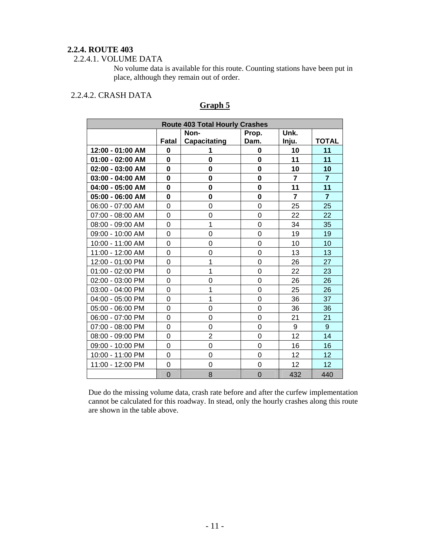### **2.2.4. ROUTE 403**

### 2.2.4.1. VOLUME DATA

No volume data is available for this route. Counting stations have been put in place, although they remain out of order.

### 2.2.4.2. CRASH DATA

| <b>Route 403 Total Hourly Crashes</b> |                |                     |                |                |                |  |  |  |
|---------------------------------------|----------------|---------------------|----------------|----------------|----------------|--|--|--|
|                                       |                | Non-                | Unk.           |                |                |  |  |  |
|                                       | Fatal          | <b>Capacitating</b> | Dam.           | Inju.          | <b>TOTAL</b>   |  |  |  |
| 12:00 - 01:00 AM                      | 0              | 1                   | 0              | 10             | 11             |  |  |  |
| 01:00 - 02:00 AM                      | $\mathbf{0}$   | 0                   | 0              | 11             | 11             |  |  |  |
| 02:00 - 03:00 AM                      | 0              | 0                   | $\mathbf 0$    | 10             | 10             |  |  |  |
| 03:00 - 04:00 AM                      | 0              | 0                   | $\mathbf 0$    | $\overline{7}$ | $\overline{7}$ |  |  |  |
| 04:00 - 05:00 AM                      | $\bf{0}$       | 0                   | 0              | 11             | 11             |  |  |  |
| 05:00 - 06:00 AM                      | 0              | $\mathbf 0$         | $\bf{0}$       | $\overline{7}$ | $\overline{7}$ |  |  |  |
| 06:00 - 07:00 AM                      | 0              | 0                   | $\overline{0}$ | 25             | 25             |  |  |  |
| 07:00 - 08:00 AM                      | 0              | 0                   | $\overline{0}$ | 22             | 22             |  |  |  |
| 08:00 - 09:00 AM                      | 0              | 1                   | $\mathbf 0$    | 34             | 35             |  |  |  |
| 09:00 - 10:00 AM                      | 0              | 0                   | $\overline{0}$ | 19             | 19             |  |  |  |
| 10:00 - 11:00 AM                      | 0              | 0                   | $\mathbf 0$    | 10             | 10             |  |  |  |
| 11:00 - 12:00 AM                      | 0              | 0                   | $\mathbf 0$    | 13             | 13             |  |  |  |
| 12:00 - 01:00 PM                      | 0              | 1                   | $\overline{0}$ | 26             | 27             |  |  |  |
| 01:00 - 02:00 PM                      | 0              | 1                   | $\mathbf 0$    | 22             | 23             |  |  |  |
| 02:00 - 03:00 PM                      | 0              | 0                   | 0              | 26             | 26             |  |  |  |
| 03:00 - 04:00 PM                      | 0              | 1                   | 0              | 25             | 26             |  |  |  |
| 04:00 - 05:00 PM                      | 0              | 1                   | $\overline{0}$ | 36             | 37             |  |  |  |
| 05:00 - 06:00 PM                      | 0              | 0                   | 0              | 36             | 36             |  |  |  |
| 06:00 - 07:00 PM                      | 0              | 0                   | $\overline{0}$ | 21             | 21             |  |  |  |
| 07:00 - 08:00 PM                      | 0              | $\overline{0}$      | $\overline{0}$ | 9              | 9              |  |  |  |
| 08:00 - 09:00 PM                      | 0              | $\overline{2}$      | 0              | 12             | 14             |  |  |  |
| 09:00 - 10:00 PM                      | 0              | 0                   | $\mathbf 0$    | 16             | 16             |  |  |  |
| 10:00 - 11:00 PM                      | 0              | 0                   | 0              | 12             | 12             |  |  |  |
| 11:00 - 12:00 PM                      | 0              | 0                   | 0              | 12             | 12             |  |  |  |
|                                       | $\overline{0}$ | 8                   | $\overline{0}$ | 432            | 440            |  |  |  |

### **Graph 5**

Due do the missing volume data, crash rate before and after the curfew implementation cannot be calculated for this roadway. In stead, only the hourly crashes along this route are shown in the table above.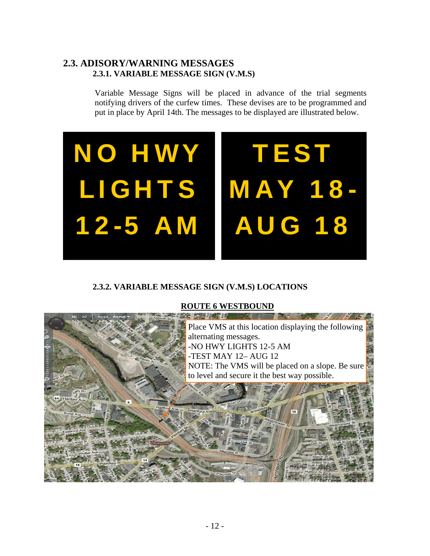### **2.3. ADISORY/WARNING MESSAGES 2.3.1. VARIABLE MESSAGE SIGN (V.M.S)**

Variable Message Signs will be placed in advance of the trial segments notifying drivers of the curfew times. These devises are to be programmed and put in place by April 14th. The messages to be displayed are illustrated below.



### **2.3.2. VARIABLE MESSAGE SIGN (V.M.S) LOCATIONS**

### **ROUTE 6 WESTBOUND**

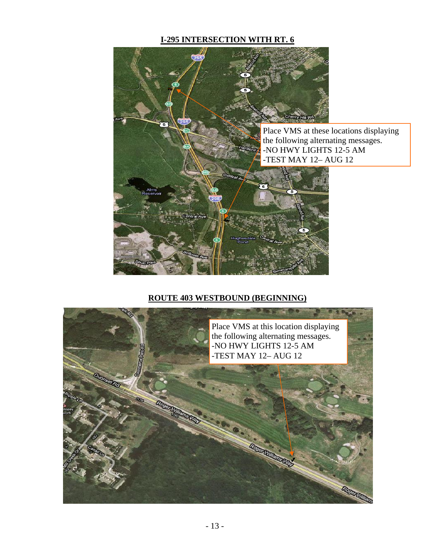### **I-295 INTERSECTION WITH RT. 6**



### **ROUTE 403 WESTBOUND (BEGINNING)**

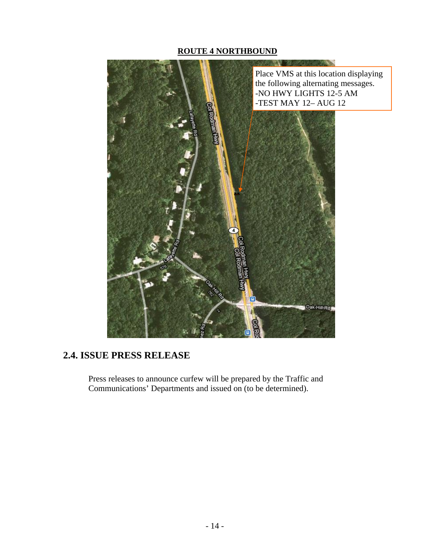### **ROUTE 4 NORTHBOUND**



### **2.4. ISSUE PRESS RELEASE**

Press releases to announce curfew will be prepared by the Traffic and Communications' Departments and issued on (to be determined).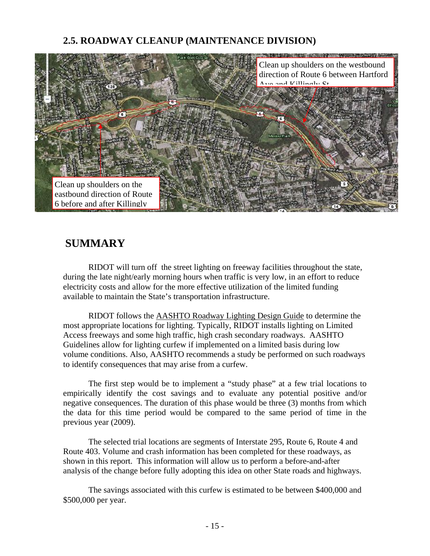### **2.5. ROADWAY CLEANUP (MAINTENANCE DIVISION)**



### **SUMMARY**

RIDOT will turn off the street lighting on freeway facilities throughout the state, during the late night/early morning hours when traffic is very low, in an effort to reduce electricity costs and allow for the more effective utilization of the limited funding available to maintain the State's transportation infrastructure.

RIDOT follows the AASHTO Roadway Lighting Design Guide to determine the most appropriate locations for lighting. Typically, RIDOT installs lighting on Limited Access freeways and some high traffic, high crash secondary roadways. AASHTO Guidelines allow for lighting curfew if implemented on a limited basis during low volume conditions. Also, AASHTO recommends a study be performed on such roadways to identify consequences that may arise from a curfew.

The first step would be to implement a "study phase" at a few trial locations to empirically identify the cost savings and to evaluate any potential positive and/or negative consequences. The duration of this phase would be three (3) months from which the data for this time period would be compared to the same period of time in the previous year (2009).

The selected trial locations are segments of Interstate 295, Route 6, Route 4 and Route 403. Volume and crash information has been completed for these roadways, as shown in this report. This information will allow us to perform a before-and-after analysis of the change before fully adopting this idea on other State roads and highways.

The savings associated with this curfew is estimated to be between \$400,000 and \$500,000 per year.